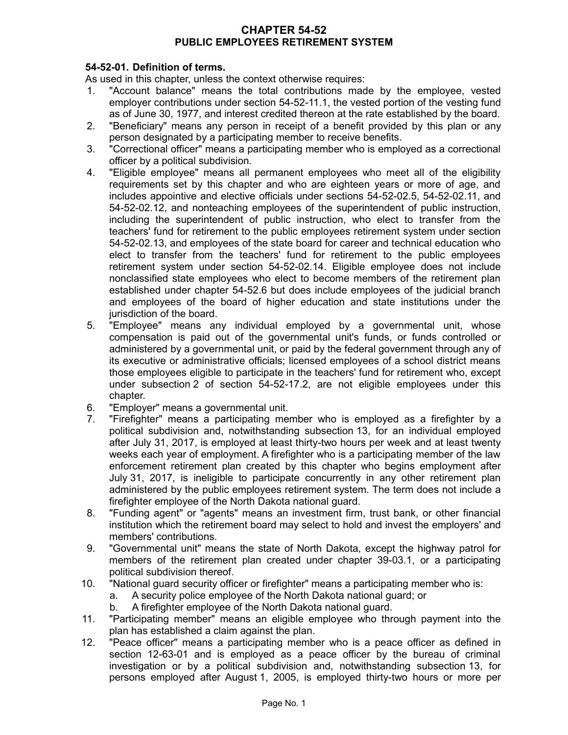## **CHAPTER 54-52 PUBLIC EMPLOYEES RETIREMENT SYSTEM**

# **54-52-01. Definition of terms.**

As used in this chapter, unless the context otherwise requires:

- 1. "Account balance" means the total contributions made by the employee, vested employer contributions under section 54-52-11.1, the vested portion of the vesting fund as of June 30, 1977, and interest credited thereon at the rate established by the board.
- 2. "Beneficiary" means any person in receipt of a benefit provided by this plan or any person designated by a participating member to receive benefits.
- 3. "Correctional officer" means a participating member who is employed as a correctional officer by a political subdivision.
- 4. "Eligible employee" means all permanent employees who meet all of the eligibility requirements set by this chapter and who are eighteen years or more of age, and includes appointive and elective officials under sections 54-52-02.5, 54-52-02.11, and 54-52-02.12, and nonteaching employees of the superintendent of public instruction, including the superintendent of public instruction, who elect to transfer from the teachers' fund for retirement to the public employees retirement system under section 54-52-02.13, and employees of the state board for career and technical education who elect to transfer from the teachers' fund for retirement to the public employees retirement system under section 54-52-02.14. Eligible employee does not include nonclassified state employees who elect to become members of the retirement plan established under chapter 54-52.6 but does include employees of the judicial branch and employees of the board of higher education and state institutions under the jurisdiction of the board.
- 5. "Employee" means any individual employed by a governmental unit, whose compensation is paid out of the governmental unit's funds, or funds controlled or administered by a governmental unit, or paid by the federal government through any of its executive or administrative officials; licensed employees of a school district means those employees eligible to participate in the teachers' fund for retirement who, except under subsection 2 of section 54-52-17.2, are not eligible employees under this chapter.
- 6. "Employer" means a governmental unit.
- 7. "Firefighter" means a participating member who is employed as a firefighter by a political subdivision and, notwithstanding subsection 13, for an individual employed after July 31, 2017, is employed at least thirty-two hours per week and at least twenty weeks each year of employment. A firefighter who is a participating member of the law enforcement retirement plan created by this chapter who begins employment after July 31, 2017, is ineligible to participate concurrently in any other retirement plan administered by the public employees retirement system. The term does not include a firefighter employee of the North Dakota national guard.
- 8. "Funding agent" or "agents" means an investment firm, trust bank, or other financial institution which the retirement board may select to hold and invest the employers' and members' contributions.
- 9. "Governmental unit" means the state of North Dakota, except the highway patrol for members of the retirement plan created under chapter 39-03.1, or a participating political subdivision thereof.
- 10. "National guard security officer or firefighter" means a participating member who is:
	- a. A security police employee of the North Dakota national guard; or
	- b. A firefighter employee of the North Dakota national guard.
- 11. "Participating member" means an eligible employee who through payment into the plan has established a claim against the plan.
- 12. "Peace officer" means a participating member who is a peace officer as defined in section 12-63-01 and is employed as a peace officer by the bureau of criminal investigation or by a political subdivision and, notwithstanding subsection 13, for persons employed after August 1, 2005, is employed thirty-two hours or more per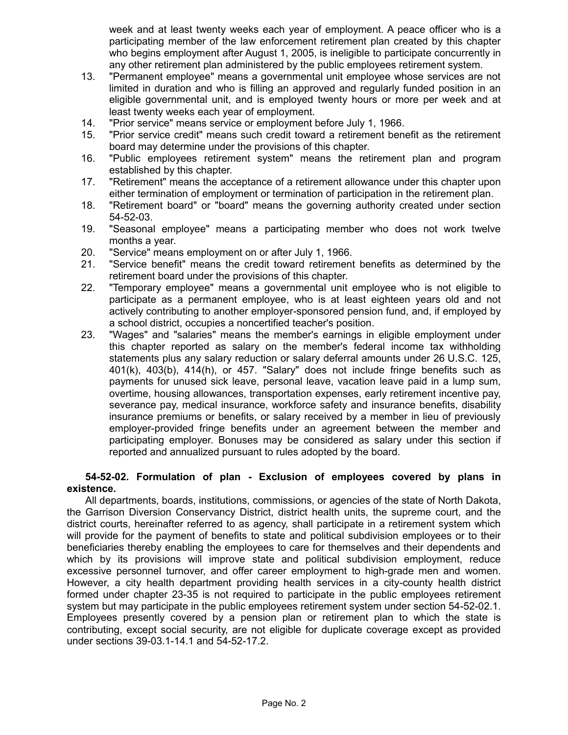week and at least twenty weeks each year of employment. A peace officer who is a participating member of the law enforcement retirement plan created by this chapter who begins employment after August 1, 2005, is ineligible to participate concurrently in any other retirement plan administered by the public employees retirement system.

- 13. "Permanent employee" means a governmental unit employee whose services are not limited in duration and who is filling an approved and regularly funded position in an eligible governmental unit, and is employed twenty hours or more per week and at least twenty weeks each year of employment.
- 14. "Prior service" means service or employment before July 1, 1966.
- 15. "Prior service credit" means such credit toward a retirement benefit as the retirement board may determine under the provisions of this chapter.
- 16. "Public employees retirement system" means the retirement plan and program established by this chapter.
- 17. "Retirement" means the acceptance of a retirement allowance under this chapter upon either termination of employment or termination of participation in the retirement plan.
- 18. "Retirement board" or "board" means the governing authority created under section 54-52-03.
- 19. "Seasonal employee" means a participating member who does not work twelve months a year.
- 20. "Service" means employment on or after July 1, 1966.
- 21. "Service benefit" means the credit toward retirement benefits as determined by the retirement board under the provisions of this chapter.
- 22. "Temporary employee" means a governmental unit employee who is not eligible to participate as a permanent employee, who is at least eighteen years old and not actively contributing to another employer-sponsored pension fund, and, if employed by a school district, occupies a noncertified teacher's position.
- 23. "Wages" and "salaries" means the member's earnings in eligible employment under this chapter reported as salary on the member's federal income tax withholding statements plus any salary reduction or salary deferral amounts under 26 U.S.C. 125, 401(k), 403(b), 414(h), or 457. "Salary" does not include fringe benefits such as payments for unused sick leave, personal leave, vacation leave paid in a lump sum, overtime, housing allowances, transportation expenses, early retirement incentive pay, severance pay, medical insurance, workforce safety and insurance benefits, disability insurance premiums or benefits, or salary received by a member in lieu of previously employer-provided fringe benefits under an agreement between the member and participating employer. Bonuses may be considered as salary under this section if reported and annualized pursuant to rules adopted by the board.

## **54-52-02. Formulation of plan - Exclusion of employees covered by plans in existence.**

All departments, boards, institutions, commissions, or agencies of the state of North Dakota, the Garrison Diversion Conservancy District, district health units, the supreme court, and the district courts, hereinafter referred to as agency, shall participate in a retirement system which will provide for the payment of benefits to state and political subdivision employees or to their beneficiaries thereby enabling the employees to care for themselves and their dependents and which by its provisions will improve state and political subdivision employment, reduce excessive personnel turnover, and offer career employment to high-grade men and women. However, a city health department providing health services in a city-county health district formed under chapter 23-35 is not required to participate in the public employees retirement system but may participate in the public employees retirement system under section 54-52-02.1. Employees presently covered by a pension plan or retirement plan to which the state is contributing, except social security, are not eligible for duplicate coverage except as provided under sections 39-03.1-14.1 and 54-52-17.2.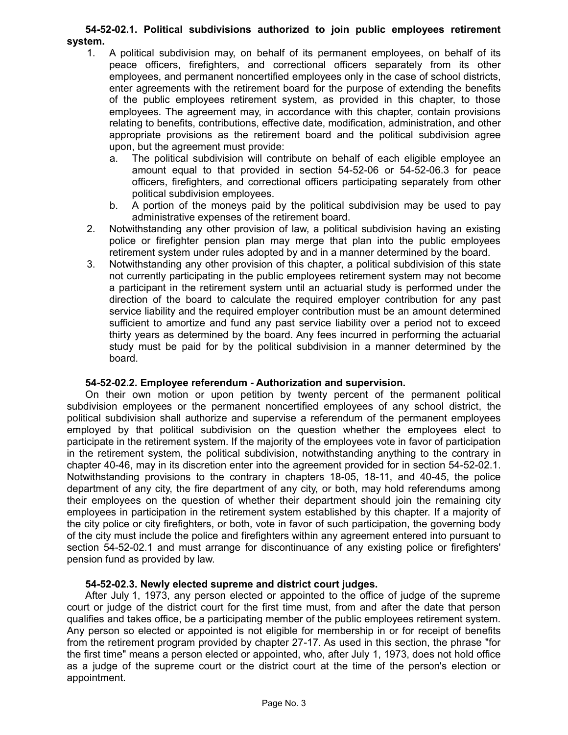### **54-52-02.1. Political subdivisions authorized to join public employees retirement system.**

- 1. A political subdivision may, on behalf of its permanent employees, on behalf of its peace officers, firefighters, and correctional officers separately from its other employees, and permanent noncertified employees only in the case of school districts, enter agreements with the retirement board for the purpose of extending the benefits of the public employees retirement system, as provided in this chapter, to those employees. The agreement may, in accordance with this chapter, contain provisions relating to benefits, contributions, effective date, modification, administration, and other appropriate provisions as the retirement board and the political subdivision agree upon, but the agreement must provide:
	- a. The political subdivision will contribute on behalf of each eligible employee an amount equal to that provided in section 54-52-06 or 54-52-06.3 for peace officers, firefighters, and correctional officers participating separately from other political subdivision employees.
	- b. A portion of the moneys paid by the political subdivision may be used to pay administrative expenses of the retirement board.
- 2. Notwithstanding any other provision of law, a political subdivision having an existing police or firefighter pension plan may merge that plan into the public employees retirement system under rules adopted by and in a manner determined by the board.
- 3. Notwithstanding any other provision of this chapter, a political subdivision of this state not currently participating in the public employees retirement system may not become a participant in the retirement system until an actuarial study is performed under the direction of the board to calculate the required employer contribution for any past service liability and the required employer contribution must be an amount determined sufficient to amortize and fund any past service liability over a period not to exceed thirty years as determined by the board. Any fees incurred in performing the actuarial study must be paid for by the political subdivision in a manner determined by the board.

### **54-52-02.2. Employee referendum - Authorization and supervision.**

On their own motion or upon petition by twenty percent of the permanent political subdivision employees or the permanent noncertified employees of any school district, the political subdivision shall authorize and supervise a referendum of the permanent employees employed by that political subdivision on the question whether the employees elect to participate in the retirement system. If the majority of the employees vote in favor of participation in the retirement system, the political subdivision, notwithstanding anything to the contrary in chapter 40-46, may in its discretion enter into the agreement provided for in section 54-52-02.1. Notwithstanding provisions to the contrary in chapters 18-05, 18-11, and 40-45, the police department of any city, the fire department of any city, or both, may hold referendums among their employees on the question of whether their department should join the remaining city employees in participation in the retirement system established by this chapter. If a majority of the city police or city firefighters, or both, vote in favor of such participation, the governing body of the city must include the police and firefighters within any agreement entered into pursuant to section 54-52-02.1 and must arrange for discontinuance of any existing police or firefighters' pension fund as provided by law.

### **54-52-02.3. Newly elected supreme and district court judges.**

After July 1, 1973, any person elected or appointed to the office of judge of the supreme court or judge of the district court for the first time must, from and after the date that person qualifies and takes office, be a participating member of the public employees retirement system. Any person so elected or appointed is not eligible for membership in or for receipt of benefits from the retirement program provided by chapter 27-17. As used in this section, the phrase "for the first time" means a person elected or appointed, who, after July 1, 1973, does not hold office as a judge of the supreme court or the district court at the time of the person's election or appointment.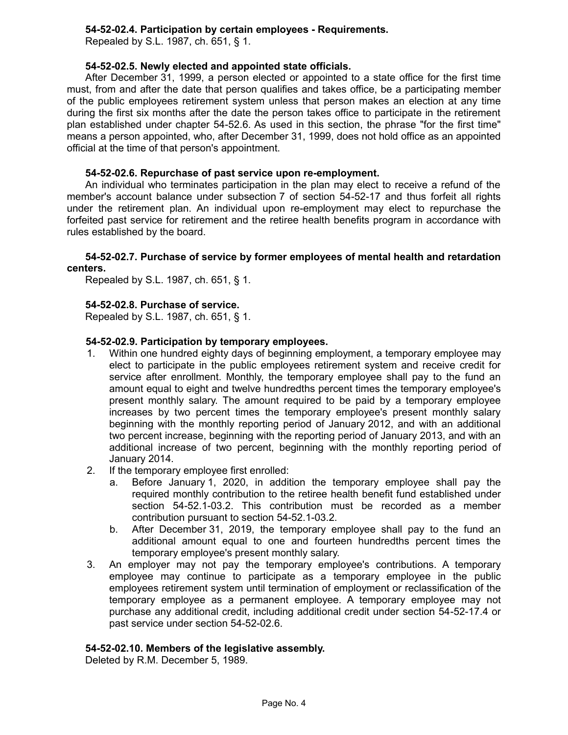# **54-52-02.4. Participation by certain employees - Requirements.**

Repealed by S.L. 1987, ch. 651, § 1.

## **54-52-02.5. Newly elected and appointed state officials.**

After December 31, 1999, a person elected or appointed to a state office for the first time must, from and after the date that person qualifies and takes office, be a participating member of the public employees retirement system unless that person makes an election at any time during the first six months after the date the person takes office to participate in the retirement plan established under chapter 54-52.6. As used in this section, the phrase "for the first time" means a person appointed, who, after December 31, 1999, does not hold office as an appointed official at the time of that person's appointment.

## **54-52-02.6. Repurchase of past service upon re-employment.**

An individual who terminates participation in the plan may elect to receive a refund of the member's account balance under subsection 7 of section 54-52-17 and thus forfeit all rights under the retirement plan. An individual upon re-employment may elect to repurchase the forfeited past service for retirement and the retiree health benefits program in accordance with rules established by the board.

## **54-52-02.7. Purchase of service by former employees of mental health and retardation centers.**

Repealed by S.L. 1987, ch. 651, § 1.

# **54-52-02.8. Purchase of service.**

Repealed by S.L. 1987, ch. 651, § 1.

## **54-52-02.9. Participation by temporary employees.**

- 1. Within one hundred eighty days of beginning employment, a temporary employee may elect to participate in the public employees retirement system and receive credit for service after enrollment. Monthly, the temporary employee shall pay to the fund an amount equal to eight and twelve hundredths percent times the temporary employee's present monthly salary. The amount required to be paid by a temporary employee increases by two percent times the temporary employee's present monthly salary beginning with the monthly reporting period of January 2012, and with an additional two percent increase, beginning with the reporting period of January 2013, and with an additional increase of two percent, beginning with the monthly reporting period of January 2014.
- 2. If the temporary employee first enrolled:
	- Before January 1, 2020, in addition the temporary employee shall pay the required monthly contribution to the retiree health benefit fund established under section 54-52.1-03.2. This contribution must be recorded as a member contribution pursuant to section 54-52.1-03.2.
	- b. After December 31, 2019, the temporary employee shall pay to the fund an additional amount equal to one and fourteen hundredths percent times the temporary employee's present monthly salary.
- 3. An employer may not pay the temporary employee's contributions. A temporary employee may continue to participate as a temporary employee in the public employees retirement system until termination of employment or reclassification of the temporary employee as a permanent employee. A temporary employee may not purchase any additional credit, including additional credit under section 54-52-17.4 or past service under section 54-52-02.6.

### **54-52-02.10. Members of the legislative assembly.**

Deleted by R.M. December 5, 1989.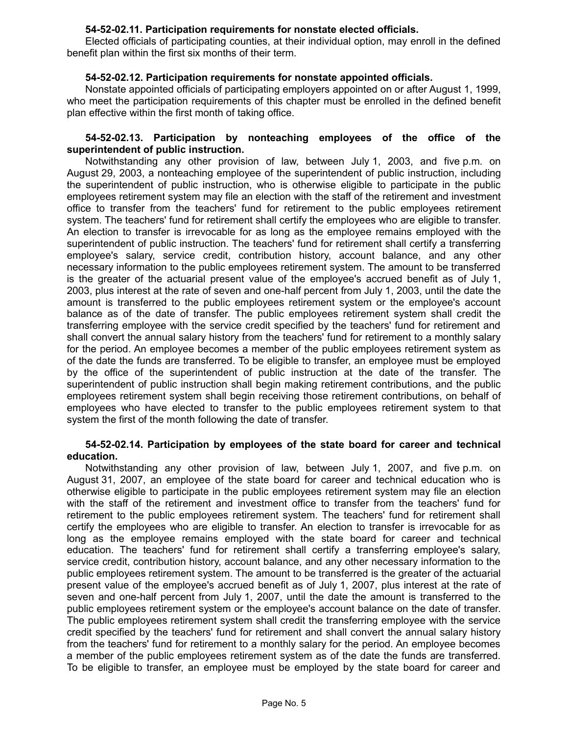## **54-52-02.11. Participation requirements for nonstate elected officials.**

Elected officials of participating counties, at their individual option, may enroll in the defined benefit plan within the first six months of their term.

## **54-52-02.12. Participation requirements for nonstate appointed officials.**

Nonstate appointed officials of participating employers appointed on or after August 1, 1999, who meet the participation requirements of this chapter must be enrolled in the defined benefit plan effective within the first month of taking office.

### **54-52-02.13. Participation by nonteaching employees of the office of the superintendent of public instruction.**

Notwithstanding any other provision of law, between July 1, 2003, and five p.m. on August 29, 2003, a nonteaching employee of the superintendent of public instruction, including the superintendent of public instruction, who is otherwise eligible to participate in the public employees retirement system may file an election with the staff of the retirement and investment office to transfer from the teachers' fund for retirement to the public employees retirement system. The teachers' fund for retirement shall certify the employees who are eligible to transfer. An election to transfer is irrevocable for as long as the employee remains employed with the superintendent of public instruction. The teachers' fund for retirement shall certify a transferring employee's salary, service credit, contribution history, account balance, and any other necessary information to the public employees retirement system. The amount to be transferred is the greater of the actuarial present value of the employee's accrued benefit as of July 1, 2003, plus interest at the rate of seven and one-half percent from July 1, 2003, until the date the amount is transferred to the public employees retirement system or the employee's account balance as of the date of transfer. The public employees retirement system shall credit the transferring employee with the service credit specified by the teachers' fund for retirement and shall convert the annual salary history from the teachers' fund for retirement to a monthly salary for the period. An employee becomes a member of the public employees retirement system as of the date the funds are transferred. To be eligible to transfer, an employee must be employed by the office of the superintendent of public instruction at the date of the transfer. The superintendent of public instruction shall begin making retirement contributions, and the public employees retirement system shall begin receiving those retirement contributions, on behalf of employees who have elected to transfer to the public employees retirement system to that system the first of the month following the date of transfer.

### **54-52-02.14. Participation by employees of the state board for career and technical education.**

Notwithstanding any other provision of law, between July 1, 2007, and five p.m. on August 31, 2007, an employee of the state board for career and technical education who is otherwise eligible to participate in the public employees retirement system may file an election with the staff of the retirement and investment office to transfer from the teachers' fund for retirement to the public employees retirement system. The teachers' fund for retirement shall certify the employees who are eligible to transfer. An election to transfer is irrevocable for as long as the employee remains employed with the state board for career and technical education. The teachers' fund for retirement shall certify a transferring employee's salary, service credit, contribution history, account balance, and any other necessary information to the public employees retirement system. The amount to be transferred is the greater of the actuarial present value of the employee's accrued benefit as of July 1, 2007, plus interest at the rate of seven and one-half percent from July 1, 2007, until the date the amount is transferred to the public employees retirement system or the employee's account balance on the date of transfer. The public employees retirement system shall credit the transferring employee with the service credit specified by the teachers' fund for retirement and shall convert the annual salary history from the teachers' fund for retirement to a monthly salary for the period. An employee becomes a member of the public employees retirement system as of the date the funds are transferred. To be eligible to transfer, an employee must be employed by the state board for career and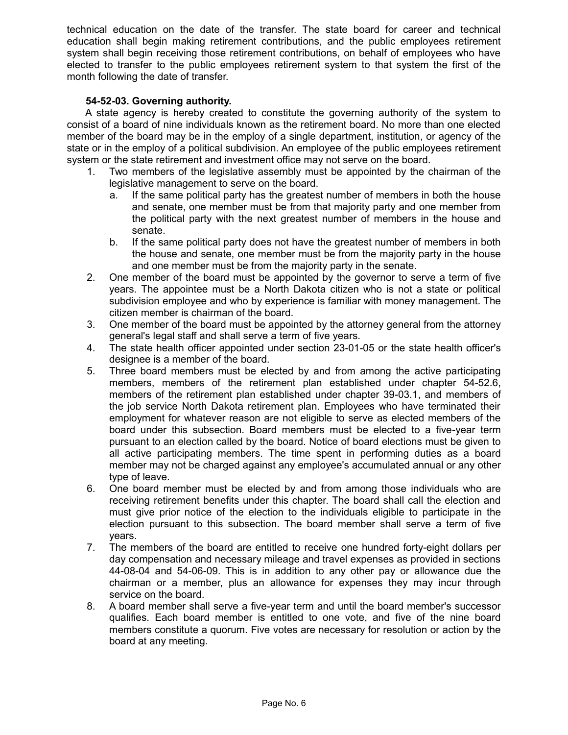technical education on the date of the transfer. The state board for career and technical education shall begin making retirement contributions, and the public employees retirement system shall begin receiving those retirement contributions, on behalf of employees who have elected to transfer to the public employees retirement system to that system the first of the month following the date of transfer.

# **54-52-03. Governing authority.**

A state agency is hereby created to constitute the governing authority of the system to consist of a board of nine individuals known as the retirement board. No more than one elected member of the board may be in the employ of a single department, institution, or agency of the state or in the employ of a political subdivision. An employee of the public employees retirement system or the state retirement and investment office may not serve on the board.

- 1. Two members of the legislative assembly must be appointed by the chairman of the legislative management to serve on the board.
	- a. If the same political party has the greatest number of members in both the house and senate, one member must be from that majority party and one member from the political party with the next greatest number of members in the house and senate.
	- b. If the same political party does not have the greatest number of members in both the house and senate, one member must be from the majority party in the house and one member must be from the majority party in the senate.
- 2. One member of the board must be appointed by the governor to serve a term of five years. The appointee must be a North Dakota citizen who is not a state or political subdivision employee and who by experience is familiar with money management. The citizen member is chairman of the board.
- 3. One member of the board must be appointed by the attorney general from the attorney general's legal staff and shall serve a term of five years.
- 4. The state health officer appointed under section 23-01-05 or the state health officer's designee is a member of the board.
- 5. Three board members must be elected by and from among the active participating members, members of the retirement plan established under chapter 54-52.6, members of the retirement plan established under chapter 39-03.1, and members of the job service North Dakota retirement plan. Employees who have terminated their employment for whatever reason are not eligible to serve as elected members of the board under this subsection. Board members must be elected to a five-year term pursuant to an election called by the board. Notice of board elections must be given to all active participating members. The time spent in performing duties as a board member may not be charged against any employee's accumulated annual or any other type of leave.
- 6. One board member must be elected by and from among those individuals who are receiving retirement benefits under this chapter. The board shall call the election and must give prior notice of the election to the individuals eligible to participate in the election pursuant to this subsection. The board member shall serve a term of five years.
- 7. The members of the board are entitled to receive one hundred forty-eight dollars per day compensation and necessary mileage and travel expenses as provided in sections 44-08-04 and 54-06-09. This is in addition to any other pay or allowance due the chairman or a member, plus an allowance for expenses they may incur through service on the board.
- 8. A board member shall serve a five-year term and until the board member's successor qualifies. Each board member is entitled to one vote, and five of the nine board members constitute a quorum. Five votes are necessary for resolution or action by the board at any meeting.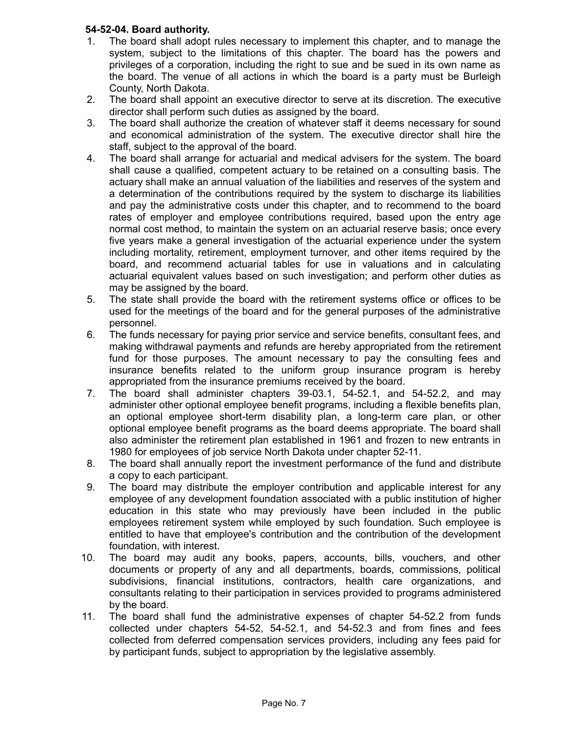# **54-52-04. Board authority.**

- 1. The board shall adopt rules necessary to implement this chapter, and to manage the system, subject to the limitations of this chapter. The board has the powers and privileges of a corporation, including the right to sue and be sued in its own name as the board. The venue of all actions in which the board is a party must be Burleigh County, North Dakota.
- 2. The board shall appoint an executive director to serve at its discretion. The executive director shall perform such duties as assigned by the board.
- 3. The board shall authorize the creation of whatever staff it deems necessary for sound and economical administration of the system. The executive director shall hire the staff, subject to the approval of the board.
- 4. The board shall arrange for actuarial and medical advisers for the system. The board shall cause a qualified, competent actuary to be retained on a consulting basis. The actuary shall make an annual valuation of the liabilities and reserves of the system and a determination of the contributions required by the system to discharge its liabilities and pay the administrative costs under this chapter, and to recommend to the board rates of employer and employee contributions required, based upon the entry age normal cost method, to maintain the system on an actuarial reserve basis; once every five years make a general investigation of the actuarial experience under the system including mortality, retirement, employment turnover, and other items required by the board, and recommend actuarial tables for use in valuations and in calculating actuarial equivalent values based on such investigation; and perform other duties as may be assigned by the board.
- 5. The state shall provide the board with the retirement systems office or offices to be used for the meetings of the board and for the general purposes of the administrative personnel.
- 6. The funds necessary for paying prior service and service benefits, consultant fees, and making withdrawal payments and refunds are hereby appropriated from the retirement fund for those purposes. The amount necessary to pay the consulting fees and insurance benefits related to the uniform group insurance program is hereby appropriated from the insurance premiums received by the board.
- 7. The board shall administer chapters 39-03.1, 54-52.1, and 54-52.2, and may administer other optional employee benefit programs, including a flexible benefits plan, an optional employee short-term disability plan, a long-term care plan, or other optional employee benefit programs as the board deems appropriate. The board shall also administer the retirement plan established in 1961 and frozen to new entrants in 1980 for employees of job service North Dakota under chapter 52-11.
- 8. The board shall annually report the investment performance of the fund and distribute a copy to each participant.
- 9. The board may distribute the employer contribution and applicable interest for any employee of any development foundation associated with a public institution of higher education in this state who may previously have been included in the public employees retirement system while employed by such foundation. Such employee is entitled to have that employee's contribution and the contribution of the development foundation, with interest.
- 10. The board may audit any books, papers, accounts, bills, vouchers, and other documents or property of any and all departments, boards, commissions, political subdivisions, financial institutions, contractors, health care organizations, and consultants relating to their participation in services provided to programs administered by the board.
- 11. The board shall fund the administrative expenses of chapter 54-52.2 from funds collected under chapters 54-52, 54-52.1, and 54-52.3 and from fines and fees collected from deferred compensation services providers, including any fees paid for by participant funds, subject to appropriation by the legislative assembly.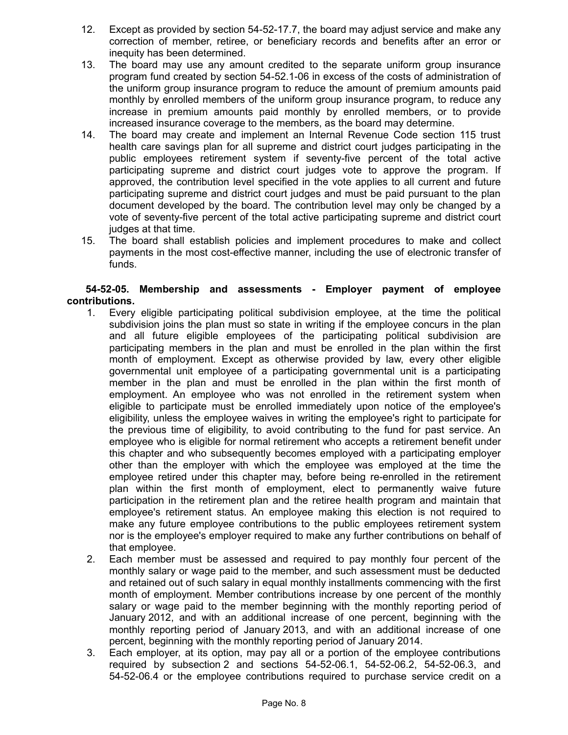- 12. Except as provided by section 54-52-17.7, the board may adjust service and make any correction of member, retiree, or beneficiary records and benefits after an error or inequity has been determined.
- 13. The board may use any amount credited to the separate uniform group insurance program fund created by section 54-52.1-06 in excess of the costs of administration of the uniform group insurance program to reduce the amount of premium amounts paid monthly by enrolled members of the uniform group insurance program, to reduce any increase in premium amounts paid monthly by enrolled members, or to provide increased insurance coverage to the members, as the board may determine.
- 14. The board may create and implement an Internal Revenue Code section 115 trust health care savings plan for all supreme and district court judges participating in the public employees retirement system if seventy-five percent of the total active participating supreme and district court judges vote to approve the program. If approved, the contribution level specified in the vote applies to all current and future participating supreme and district court judges and must be paid pursuant to the plan document developed by the board. The contribution level may only be changed by a vote of seventy-five percent of the total active participating supreme and district court judges at that time.
- 15. The board shall establish policies and implement procedures to make and collect payments in the most cost-effective manner, including the use of electronic transfer of funds.

# **54-52-05. Membership and assessments - Employer payment of employee contributions.**

- 1. Every eligible participating political subdivision employee, at the time the political subdivision joins the plan must so state in writing if the employee concurs in the plan and all future eligible employees of the participating political subdivision are participating members in the plan and must be enrolled in the plan within the first month of employment. Except as otherwise provided by law, every other eligible governmental unit employee of a participating governmental unit is a participating member in the plan and must be enrolled in the plan within the first month of employment. An employee who was not enrolled in the retirement system when eligible to participate must be enrolled immediately upon notice of the employee's eligibility, unless the employee waives in writing the employee's right to participate for the previous time of eligibility, to avoid contributing to the fund for past service. An employee who is eligible for normal retirement who accepts a retirement benefit under this chapter and who subsequently becomes employed with a participating employer other than the employer with which the employee was employed at the time the employee retired under this chapter may, before being re-enrolled in the retirement plan within the first month of employment, elect to permanently waive future participation in the retirement plan and the retiree health program and maintain that employee's retirement status. An employee making this election is not required to make any future employee contributions to the public employees retirement system nor is the employee's employer required to make any further contributions on behalf of that employee.
- 2. Each member must be assessed and required to pay monthly four percent of the monthly salary or wage paid to the member, and such assessment must be deducted and retained out of such salary in equal monthly installments commencing with the first month of employment. Member contributions increase by one percent of the monthly salary or wage paid to the member beginning with the monthly reporting period of January 2012, and with an additional increase of one percent, beginning with the monthly reporting period of January 2013, and with an additional increase of one percent, beginning with the monthly reporting period of January 2014.
- 3. Each employer, at its option, may pay all or a portion of the employee contributions required by subsection 2 and sections 54-52-06.1, 54-52-06.2, 54-52-06.3, and 54-52-06.4 or the employee contributions required to purchase service credit on a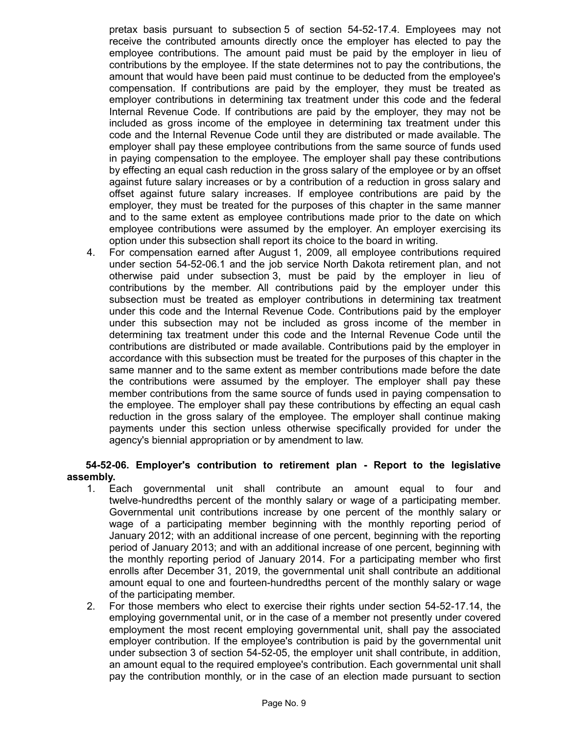pretax basis pursuant to subsection 5 of section 54-52-17.4. Employees may not receive the contributed amounts directly once the employer has elected to pay the employee contributions. The amount paid must be paid by the employer in lieu of contributions by the employee. If the state determines not to pay the contributions, the amount that would have been paid must continue to be deducted from the employee's compensation. If contributions are paid by the employer, they must be treated as employer contributions in determining tax treatment under this code and the federal Internal Revenue Code. If contributions are paid by the employer, they may not be included as gross income of the employee in determining tax treatment under this code and the Internal Revenue Code until they are distributed or made available. The employer shall pay these employee contributions from the same source of funds used in paying compensation to the employee. The employer shall pay these contributions by effecting an equal cash reduction in the gross salary of the employee or by an offset against future salary increases or by a contribution of a reduction in gross salary and offset against future salary increases. If employee contributions are paid by the employer, they must be treated for the purposes of this chapter in the same manner and to the same extent as employee contributions made prior to the date on which employee contributions were assumed by the employer. An employer exercising its option under this subsection shall report its choice to the board in writing.

4. For compensation earned after August 1, 2009, all employee contributions required under section 54-52-06.1 and the job service North Dakota retirement plan, and not otherwise paid under subsection 3, must be paid by the employer in lieu of contributions by the member. All contributions paid by the employer under this subsection must be treated as employer contributions in determining tax treatment under this code and the Internal Revenue Code. Contributions paid by the employer under this subsection may not be included as gross income of the member in determining tax treatment under this code and the Internal Revenue Code until the contributions are distributed or made available. Contributions paid by the employer in accordance with this subsection must be treated for the purposes of this chapter in the same manner and to the same extent as member contributions made before the date the contributions were assumed by the employer. The employer shall pay these member contributions from the same source of funds used in paying compensation to the employee. The employer shall pay these contributions by effecting an equal cash reduction in the gross salary of the employee. The employer shall continue making payments under this section unless otherwise specifically provided for under the agency's biennial appropriation or by amendment to law.

# **54-52-06. Employer's contribution to retirement plan - Report to the legislative assembly.**

- 1. Each governmental unit shall contribute an amount equal to four and twelve-hundredths percent of the monthly salary or wage of a participating member. Governmental unit contributions increase by one percent of the monthly salary or wage of a participating member beginning with the monthly reporting period of January 2012; with an additional increase of one percent, beginning with the reporting period of January 2013; and with an additional increase of one percent, beginning with the monthly reporting period of January 2014. For a participating member who first enrolls after December 31, 2019, the governmental unit shall contribute an additional amount equal to one and fourteen-hundredths percent of the monthly salary or wage of the participating member.
- 2. For those members who elect to exercise their rights under section 54-52-17.14, the employing governmental unit, or in the case of a member not presently under covered employment the most recent employing governmental unit, shall pay the associated employer contribution. If the employee's contribution is paid by the governmental unit under subsection 3 of section 54-52-05, the employer unit shall contribute, in addition, an amount equal to the required employee's contribution. Each governmental unit shall pay the contribution monthly, or in the case of an election made pursuant to section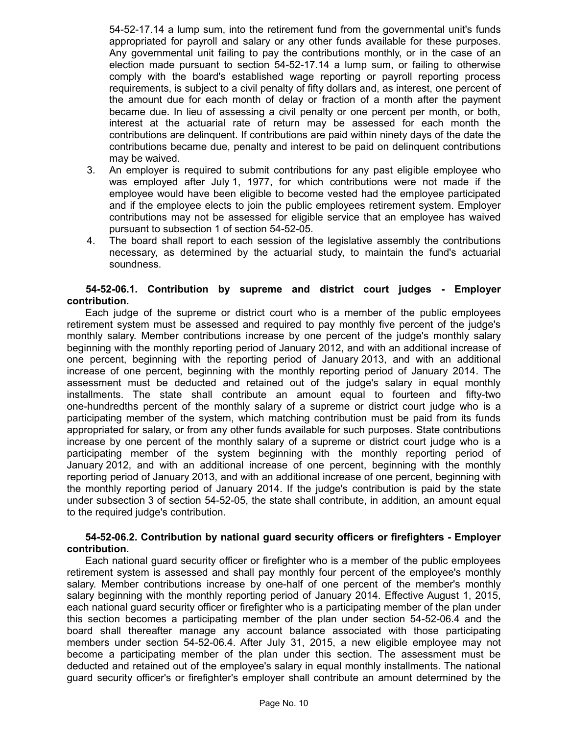54-52-17.14 a lump sum, into the retirement fund from the governmental unit's funds appropriated for payroll and salary or any other funds available for these purposes. Any governmental unit failing to pay the contributions monthly, or in the case of an election made pursuant to section 54-52-17.14 a lump sum, or failing to otherwise comply with the board's established wage reporting or payroll reporting process requirements, is subject to a civil penalty of fifty dollars and, as interest, one percent of the amount due for each month of delay or fraction of a month after the payment became due. In lieu of assessing a civil penalty or one percent per month, or both, interest at the actuarial rate of return may be assessed for each month the contributions are delinquent. If contributions are paid within ninety days of the date the contributions became due, penalty and interest to be paid on delinquent contributions may be waived.

- 3. An employer is required to submit contributions for any past eligible employee who was employed after July 1, 1977, for which contributions were not made if the employee would have been eligible to become vested had the employee participated and if the employee elects to join the public employees retirement system. Employer contributions may not be assessed for eligible service that an employee has waived pursuant to subsection 1 of section 54-52-05.
- 4. The board shall report to each session of the legislative assembly the contributions necessary, as determined by the actuarial study, to maintain the fund's actuarial soundness.

### **54-52-06.1. Contribution by supreme and district court judges - Employer contribution.**

Each judge of the supreme or district court who is a member of the public employees retirement system must be assessed and required to pay monthly five percent of the judge's monthly salary. Member contributions increase by one percent of the judge's monthly salary beginning with the monthly reporting period of January 2012, and with an additional increase of one percent, beginning with the reporting period of January 2013, and with an additional increase of one percent, beginning with the monthly reporting period of January 2014. The assessment must be deducted and retained out of the judge's salary in equal monthly installments. The state shall contribute an amount equal to fourteen and fifty-two one-hundredths percent of the monthly salary of a supreme or district court judge who is a participating member of the system, which matching contribution must be paid from its funds appropriated for salary, or from any other funds available for such purposes. State contributions increase by one percent of the monthly salary of a supreme or district court judge who is a participating member of the system beginning with the monthly reporting period of January 2012, and with an additional increase of one percent, beginning with the monthly reporting period of January 2013, and with an additional increase of one percent, beginning with the monthly reporting period of January 2014. If the judge's contribution is paid by the state under subsection 3 of section 54-52-05, the state shall contribute, in addition, an amount equal to the required judge's contribution.

### **54-52-06.2. Contribution by national guard security officers or firefighters - Employer contribution.**

Each national guard security officer or firefighter who is a member of the public employees retirement system is assessed and shall pay monthly four percent of the employee's monthly salary. Member contributions increase by one-half of one percent of the member's monthly salary beginning with the monthly reporting period of January 2014. Effective August 1, 2015, each national guard security officer or firefighter who is a participating member of the plan under this section becomes a participating member of the plan under section 54-52-06.4 and the board shall thereafter manage any account balance associated with those participating members under section 54-52-06.4. After July 31, 2015, a new eligible employee may not become a participating member of the plan under this section. The assessment must be deducted and retained out of the employee's salary in equal monthly installments. The national guard security officer's or firefighter's employer shall contribute an amount determined by the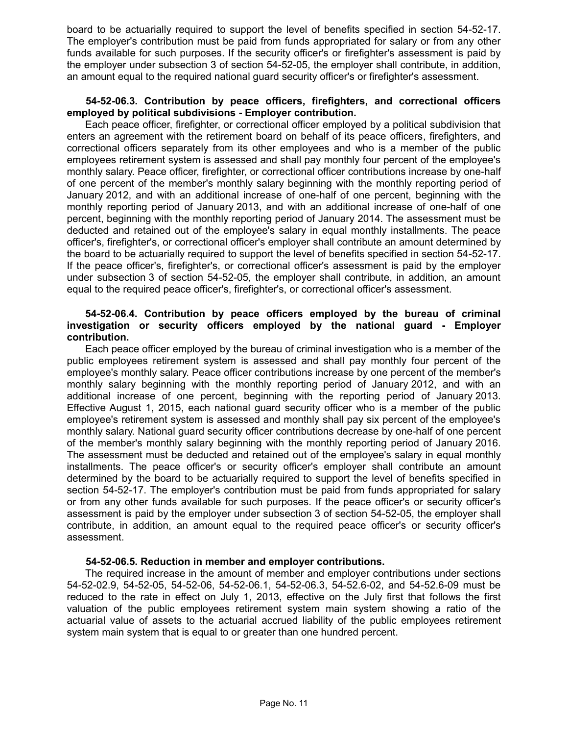board to be actuarially required to support the level of benefits specified in section 54-52-17. The employer's contribution must be paid from funds appropriated for salary or from any other funds available for such purposes. If the security officer's or firefighter's assessment is paid by the employer under subsection 3 of section 54-52-05, the employer shall contribute, in addition, an amount equal to the required national guard security officer's or firefighter's assessment.

#### **54-52-06.3. Contribution by peace officers, firefighters, and correctional officers employed by political subdivisions - Employer contribution.**

Each peace officer, firefighter, or correctional officer employed by a political subdivision that enters an agreement with the retirement board on behalf of its peace officers, firefighters, and correctional officers separately from its other employees and who is a member of the public employees retirement system is assessed and shall pay monthly four percent of the employee's monthly salary. Peace officer, firefighter, or correctional officer contributions increase by one-half of one percent of the member's monthly salary beginning with the monthly reporting period of January 2012, and with an additional increase of one-half of one percent, beginning with the monthly reporting period of January 2013, and with an additional increase of one-half of one percent, beginning with the monthly reporting period of January 2014. The assessment must be deducted and retained out of the employee's salary in equal monthly installments. The peace officer's, firefighter's, or correctional officer's employer shall contribute an amount determined by the board to be actuarially required to support the level of benefits specified in section 54-52-17. If the peace officer's, firefighter's, or correctional officer's assessment is paid by the employer under subsection 3 of section 54-52-05, the employer shall contribute, in addition, an amount equal to the required peace officer's, firefighter's, or correctional officer's assessment.

## **54-52-06.4. Contribution by peace officers employed by the bureau of criminal investigation or security officers employed by the national guard - Employer contribution.**

Each peace officer employed by the bureau of criminal investigation who is a member of the public employees retirement system is assessed and shall pay monthly four percent of the employee's monthly salary. Peace officer contributions increase by one percent of the member's monthly salary beginning with the monthly reporting period of January 2012, and with an additional increase of one percent, beginning with the reporting period of January 2013. Effective August 1, 2015, each national guard security officer who is a member of the public employee's retirement system is assessed and monthly shall pay six percent of the employee's monthly salary. National guard security officer contributions decrease by one-half of one percent of the member's monthly salary beginning with the monthly reporting period of January 2016. The assessment must be deducted and retained out of the employee's salary in equal monthly installments. The peace officer's or security officer's employer shall contribute an amount determined by the board to be actuarially required to support the level of benefits specified in section 54-52-17. The employer's contribution must be paid from funds appropriated for salary or from any other funds available for such purposes. If the peace officer's or security officer's assessment is paid by the employer under subsection 3 of section 54-52-05, the employer shall contribute, in addition, an amount equal to the required peace officer's or security officer's assessment.

### **54-52-06.5. Reduction in member and employer contributions.**

The required increase in the amount of member and employer contributions under sections 54-52-02.9, 54-52-05, 54-52-06, 54-52-06.1, 54-52-06.3, 54-52.6-02, and 54-52.6-09 must be reduced to the rate in effect on July 1, 2013, effective on the July first that follows the first valuation of the public employees retirement system main system showing a ratio of the actuarial value of assets to the actuarial accrued liability of the public employees retirement system main system that is equal to or greater than one hundred percent.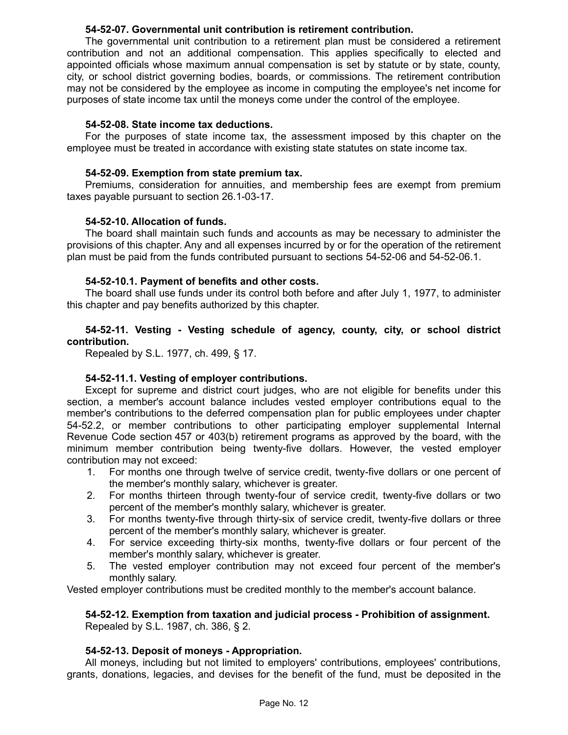## **54-52-07. Governmental unit contribution is retirement contribution.**

The governmental unit contribution to a retirement plan must be considered a retirement contribution and not an additional compensation. This applies specifically to elected and appointed officials whose maximum annual compensation is set by statute or by state, county, city, or school district governing bodies, boards, or commissions. The retirement contribution may not be considered by the employee as income in computing the employee's net income for purposes of state income tax until the moneys come under the control of the employee.

### **54-52-08. State income tax deductions.**

For the purposes of state income tax, the assessment imposed by this chapter on the employee must be treated in accordance with existing state statutes on state income tax.

## **54-52-09. Exemption from state premium tax.**

Premiums, consideration for annuities, and membership fees are exempt from premium taxes payable pursuant to section 26.1-03-17.

## **54-52-10. Allocation of funds.**

The board shall maintain such funds and accounts as may be necessary to administer the provisions of this chapter. Any and all expenses incurred by or for the operation of the retirement plan must be paid from the funds contributed pursuant to sections 54-52-06 and 54-52-06.1.

## **54-52-10.1. Payment of benefits and other costs.**

The board shall use funds under its control both before and after July 1, 1977, to administer this chapter and pay benefits authorized by this chapter.

## **54-52-11. Vesting - Vesting schedule of agency, county, city, or school district contribution.**

Repealed by S.L. 1977, ch. 499, § 17.

# **54-52-11.1. Vesting of employer contributions.**

Except for supreme and district court judges, who are not eligible for benefits under this section, a member's account balance includes vested employer contributions equal to the member's contributions to the deferred compensation plan for public employees under chapter 54-52.2, or member contributions to other participating employer supplemental Internal Revenue Code section 457 or 403(b) retirement programs as approved by the board, with the minimum member contribution being twenty-five dollars. However, the vested employer contribution may not exceed:

- 1. For months one through twelve of service credit, twenty-five dollars or one percent of the member's monthly salary, whichever is greater.
- 2. For months thirteen through twenty-four of service credit, twenty-five dollars or two percent of the member's monthly salary, whichever is greater.
- 3. For months twenty-five through thirty-six of service credit, twenty-five dollars or three percent of the member's monthly salary, whichever is greater.
- 4. For service exceeding thirty-six months, twenty-five dollars or four percent of the member's monthly salary, whichever is greater.
- 5. The vested employer contribution may not exceed four percent of the member's monthly salary.

Vested employer contributions must be credited monthly to the member's account balance.

## **54-52-12. Exemption from taxation and judicial process - Prohibition of assignment.** Repealed by S.L. 1987, ch. 386, § 2.

# **54-52-13. Deposit of moneys - Appropriation.**

All moneys, including but not limited to employers' contributions, employees' contributions, grants, donations, legacies, and devises for the benefit of the fund, must be deposited in the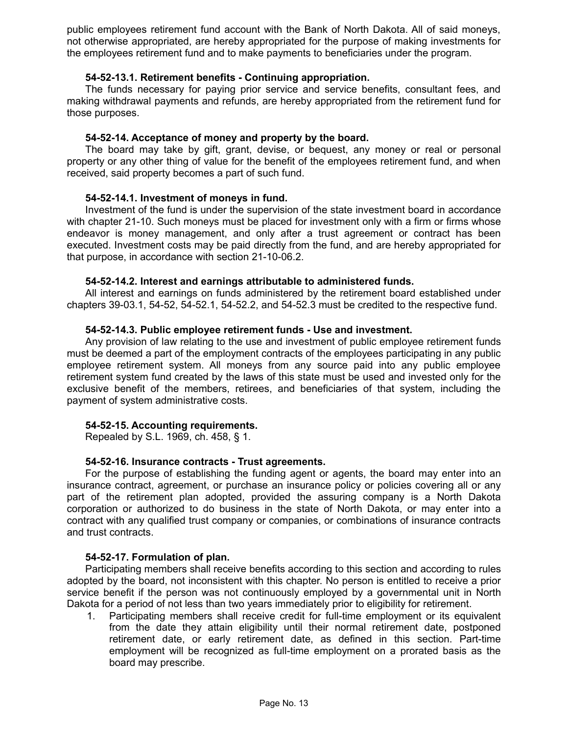public employees retirement fund account with the Bank of North Dakota. All of said moneys, not otherwise appropriated, are hereby appropriated for the purpose of making investments for the employees retirement fund and to make payments to beneficiaries under the program.

## **54-52-13.1. Retirement benefits - Continuing appropriation.**

The funds necessary for paying prior service and service benefits, consultant fees, and making withdrawal payments and refunds, are hereby appropriated from the retirement fund for those purposes.

## **54-52-14. Acceptance of money and property by the board.**

The board may take by gift, grant, devise, or bequest, any money or real or personal property or any other thing of value for the benefit of the employees retirement fund, and when received, said property becomes a part of such fund.

## **54-52-14.1. Investment of moneys in fund.**

Investment of the fund is under the supervision of the state investment board in accordance with chapter 21-10. Such moneys must be placed for investment only with a firm or firms whose endeavor is money management, and only after a trust agreement or contract has been executed. Investment costs may be paid directly from the fund, and are hereby appropriated for that purpose, in accordance with section 21-10-06.2.

### **54-52-14.2. Interest and earnings attributable to administered funds.**

All interest and earnings on funds administered by the retirement board established under chapters 39-03.1, 54-52, 54-52.1, 54-52.2, and 54-52.3 must be credited to the respective fund.

### **54-52-14.3. Public employee retirement funds - Use and investment.**

Any provision of law relating to the use and investment of public employee retirement funds must be deemed a part of the employment contracts of the employees participating in any public employee retirement system. All moneys from any source paid into any public employee retirement system fund created by the laws of this state must be used and invested only for the exclusive benefit of the members, retirees, and beneficiaries of that system, including the payment of system administrative costs.

### **54-52-15. Accounting requirements.**

Repealed by S.L. 1969, ch. 458, § 1.

### **54-52-16. Insurance contracts - Trust agreements.**

For the purpose of establishing the funding agent or agents, the board may enter into an insurance contract, agreement, or purchase an insurance policy or policies covering all or any part of the retirement plan adopted, provided the assuring company is a North Dakota corporation or authorized to do business in the state of North Dakota, or may enter into a contract with any qualified trust company or companies, or combinations of insurance contracts and trust contracts.

### **54-52-17. Formulation of plan.**

Participating members shall receive benefits according to this section and according to rules adopted by the board, not inconsistent with this chapter. No person is entitled to receive a prior service benefit if the person was not continuously employed by a governmental unit in North Dakota for a period of not less than two years immediately prior to eligibility for retirement.

1. Participating members shall receive credit for full-time employment or its equivalent from the date they attain eligibility until their normal retirement date, postponed retirement date, or early retirement date, as defined in this section. Part-time employment will be recognized as full-time employment on a prorated basis as the board may prescribe.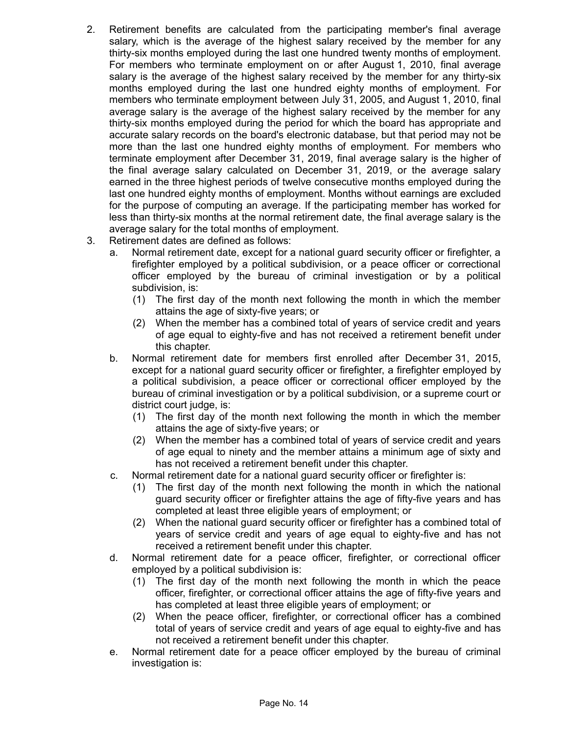- 2. Retirement benefits are calculated from the participating member's final average salary, which is the average of the highest salary received by the member for any thirty-six months employed during the last one hundred twenty months of employment. For members who terminate employment on or after August 1, 2010, final average salary is the average of the highest salary received by the member for any thirty-six months employed during the last one hundred eighty months of employment. For members who terminate employment between July 31, 2005, and August 1, 2010, final average salary is the average of the highest salary received by the member for any thirty-six months employed during the period for which the board has appropriate and accurate salary records on the board's electronic database, but that period may not be more than the last one hundred eighty months of employment. For members who terminate employment after December 31, 2019, final average salary is the higher of the final average salary calculated on December 31, 2019, or the average salary earned in the three highest periods of twelve consecutive months employed during the last one hundred eighty months of employment. Months without earnings are excluded for the purpose of computing an average. If the participating member has worked for less than thirty-six months at the normal retirement date, the final average salary is the average salary for the total months of employment.
- 3. Retirement dates are defined as follows:
	- a. Normal retirement date, except for a national guard security officer or firefighter, a firefighter employed by a political subdivision, or a peace officer or correctional officer employed by the bureau of criminal investigation or by a political subdivision, is:
		- (1) The first day of the month next following the month in which the member attains the age of sixty-five years; or
		- (2) When the member has a combined total of years of service credit and years of age equal to eighty-five and has not received a retirement benefit under this chapter.
	- b. Normal retirement date for members first enrolled after December 31, 2015, except for a national guard security officer or firefighter, a firefighter employed by a political subdivision, a peace officer or correctional officer employed by the bureau of criminal investigation or by a political subdivision, or a supreme court or district court judge, is:
		- (1) The first day of the month next following the month in which the member attains the age of sixty-five years; or
		- (2) When the member has a combined total of years of service credit and years of age equal to ninety and the member attains a minimum age of sixty and has not received a retirement benefit under this chapter.
	- c. Normal retirement date for a national guard security officer or firefighter is:
		- (1) The first day of the month next following the month in which the national guard security officer or firefighter attains the age of fifty-five years and has completed at least three eligible years of employment; or
		- (2) When the national guard security officer or firefighter has a combined total of years of service credit and years of age equal to eighty-five and has not received a retirement benefit under this chapter.
	- d. Normal retirement date for a peace officer, firefighter, or correctional officer employed by a political subdivision is:
		- (1) The first day of the month next following the month in which the peace officer, firefighter, or correctional officer attains the age of fifty-five years and has completed at least three eligible years of employment; or
		- (2) When the peace officer, firefighter, or correctional officer has a combined total of years of service credit and years of age equal to eighty-five and has not received a retirement benefit under this chapter.
	- e. Normal retirement date for a peace officer employed by the bureau of criminal investigation is: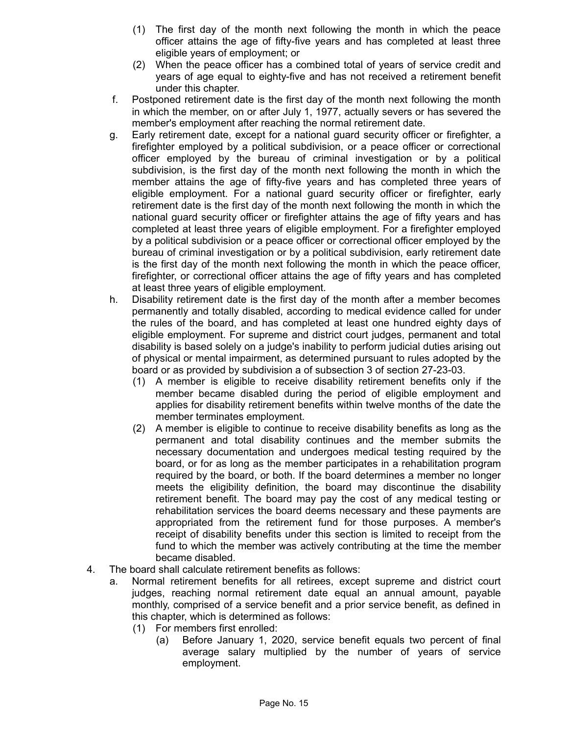- (1) The first day of the month next following the month in which the peace officer attains the age of fifty-five years and has completed at least three eligible years of employment; or
- (2) When the peace officer has a combined total of years of service credit and years of age equal to eighty-five and has not received a retirement benefit under this chapter.
- f. Postponed retirement date is the first day of the month next following the month in which the member, on or after July 1, 1977, actually severs or has severed the member's employment after reaching the normal retirement date.
- g. Early retirement date, except for a national guard security officer or firefighter, a firefighter employed by a political subdivision, or a peace officer or correctional officer employed by the bureau of criminal investigation or by a political subdivision, is the first day of the month next following the month in which the member attains the age of fifty-five years and has completed three years of eligible employment. For a national guard security officer or firefighter, early retirement date is the first day of the month next following the month in which the national guard security officer or firefighter attains the age of fifty years and has completed at least three years of eligible employment. For a firefighter employed by a political subdivision or a peace officer or correctional officer employed by the bureau of criminal investigation or by a political subdivision, early retirement date is the first day of the month next following the month in which the peace officer, firefighter, or correctional officer attains the age of fifty years and has completed at least three years of eligible employment.
- h. Disability retirement date is the first day of the month after a member becomes permanently and totally disabled, according to medical evidence called for under the rules of the board, and has completed at least one hundred eighty days of eligible employment. For supreme and district court judges, permanent and total disability is based solely on a judge's inability to perform judicial duties arising out of physical or mental impairment, as determined pursuant to rules adopted by the board or as provided by subdivision a of subsection 3 of section 27-23-03.
	- (1) A member is eligible to receive disability retirement benefits only if the member became disabled during the period of eligible employment and applies for disability retirement benefits within twelve months of the date the member terminates employment.
	- (2) A member is eligible to continue to receive disability benefits as long as the permanent and total disability continues and the member submits the necessary documentation and undergoes medical testing required by the board, or for as long as the member participates in a rehabilitation program required by the board, or both. If the board determines a member no longer meets the eligibility definition, the board may discontinue the disability retirement benefit. The board may pay the cost of any medical testing or rehabilitation services the board deems necessary and these payments are appropriated from the retirement fund for those purposes. A member's receipt of disability benefits under this section is limited to receipt from the fund to which the member was actively contributing at the time the member became disabled.
- 4. The board shall calculate retirement benefits as follows:
	- a. Normal retirement benefits for all retirees, except supreme and district court judges, reaching normal retirement date equal an annual amount, payable monthly, comprised of a service benefit and a prior service benefit, as defined in this chapter, which is determined as follows:
		- (1) For members first enrolled:
			- (a) Before January 1, 2020, service benefit equals two percent of final average salary multiplied by the number of years of service employment.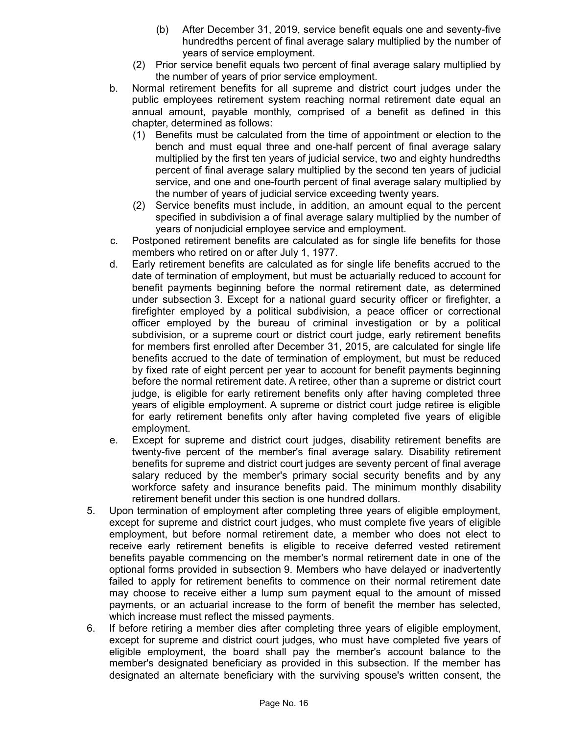- (b) After December 31, 2019, service benefit equals one and seventy-five hundredths percent of final average salary multiplied by the number of years of service employment.
- (2) Prior service benefit equals two percent of final average salary multiplied by the number of years of prior service employment.
- b. Normal retirement benefits for all supreme and district court judges under the public employees retirement system reaching normal retirement date equal an annual amount, payable monthly, comprised of a benefit as defined in this chapter, determined as follows:
	- (1) Benefits must be calculated from the time of appointment or election to the bench and must equal three and one-half percent of final average salary multiplied by the first ten years of judicial service, two and eighty hundredths percent of final average salary multiplied by the second ten years of judicial service, and one and one-fourth percent of final average salary multiplied by the number of years of judicial service exceeding twenty years.
	- (2) Service benefits must include, in addition, an amount equal to the percent specified in subdivision a of final average salary multiplied by the number of years of nonjudicial employee service and employment.
- c. Postponed retirement benefits are calculated as for single life benefits for those members who retired on or after July 1, 1977.
- d. Early retirement benefits are calculated as for single life benefits accrued to the date of termination of employment, but must be actuarially reduced to account for benefit payments beginning before the normal retirement date, as determined under subsection 3. Except for a national guard security officer or firefighter, a firefighter employed by a political subdivision, a peace officer or correctional officer employed by the bureau of criminal investigation or by a political subdivision, or a supreme court or district court judge, early retirement benefits for members first enrolled after December 31, 2015, are calculated for single life benefits accrued to the date of termination of employment, but must be reduced by fixed rate of eight percent per year to account for benefit payments beginning before the normal retirement date. A retiree, other than a supreme or district court judge, is eligible for early retirement benefits only after having completed three years of eligible employment. A supreme or district court judge retiree is eligible for early retirement benefits only after having completed five years of eligible employment.
- e. Except for supreme and district court judges, disability retirement benefits are twenty-five percent of the member's final average salary. Disability retirement benefits for supreme and district court judges are seventy percent of final average salary reduced by the member's primary social security benefits and by any workforce safety and insurance benefits paid. The minimum monthly disability retirement benefit under this section is one hundred dollars.
- 5. Upon termination of employment after completing three years of eligible employment, except for supreme and district court judges, who must complete five years of eligible employment, but before normal retirement date, a member who does not elect to receive early retirement benefits is eligible to receive deferred vested retirement benefits payable commencing on the member's normal retirement date in one of the optional forms provided in subsection 9. Members who have delayed or inadvertently failed to apply for retirement benefits to commence on their normal retirement date may choose to receive either a lump sum payment equal to the amount of missed payments, or an actuarial increase to the form of benefit the member has selected, which increase must reflect the missed payments.
- 6. If before retiring a member dies after completing three years of eligible employment, except for supreme and district court judges, who must have completed five years of eligible employment, the board shall pay the member's account balance to the member's designated beneficiary as provided in this subsection. If the member has designated an alternate beneficiary with the surviving spouse's written consent, the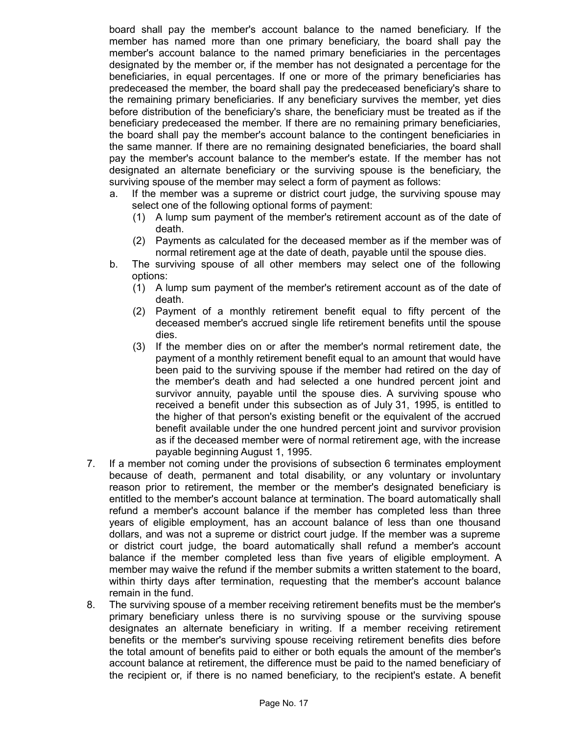board shall pay the member's account balance to the named beneficiary. If the member has named more than one primary beneficiary, the board shall pay the member's account balance to the named primary beneficiaries in the percentages designated by the member or, if the member has not designated a percentage for the beneficiaries, in equal percentages. If one or more of the primary beneficiaries has predeceased the member, the board shall pay the predeceased beneficiary's share to the remaining primary beneficiaries. If any beneficiary survives the member, yet dies before distribution of the beneficiary's share, the beneficiary must be treated as if the beneficiary predeceased the member. If there are no remaining primary beneficiaries, the board shall pay the member's account balance to the contingent beneficiaries in the same manner. If there are no remaining designated beneficiaries, the board shall pay the member's account balance to the member's estate. If the member has not designated an alternate beneficiary or the surviving spouse is the beneficiary, the surviving spouse of the member may select a form of payment as follows:

- a. If the member was a supreme or district court judge, the surviving spouse may select one of the following optional forms of payment:
	- (1) A lump sum payment of the member's retirement account as of the date of death.
	- (2) Payments as calculated for the deceased member as if the member was of normal retirement age at the date of death, payable until the spouse dies.
- b. The surviving spouse of all other members may select one of the following options:
	- (1) A lump sum payment of the member's retirement account as of the date of death.
	- (2) Payment of a monthly retirement benefit equal to fifty percent of the deceased member's accrued single life retirement benefits until the spouse dies.
	- (3) If the member dies on or after the member's normal retirement date, the payment of a monthly retirement benefit equal to an amount that would have been paid to the surviving spouse if the member had retired on the day of the member's death and had selected a one hundred percent joint and survivor annuity, payable until the spouse dies. A surviving spouse who received a benefit under this subsection as of July 31, 1995, is entitled to the higher of that person's existing benefit or the equivalent of the accrued benefit available under the one hundred percent joint and survivor provision as if the deceased member were of normal retirement age, with the increase payable beginning August 1, 1995.
- 7. If a member not coming under the provisions of subsection 6 terminates employment because of death, permanent and total disability, or any voluntary or involuntary reason prior to retirement, the member or the member's designated beneficiary is entitled to the member's account balance at termination. The board automatically shall refund a member's account balance if the member has completed less than three years of eligible employment, has an account balance of less than one thousand dollars, and was not a supreme or district court judge. If the member was a supreme or district court judge, the board automatically shall refund a member's account balance if the member completed less than five years of eligible employment. A member may waive the refund if the member submits a written statement to the board, within thirty days after termination, requesting that the member's account balance remain in the fund.
- 8. The surviving spouse of a member receiving retirement benefits must be the member's primary beneficiary unless there is no surviving spouse or the surviving spouse designates an alternate beneficiary in writing. If a member receiving retirement benefits or the member's surviving spouse receiving retirement benefits dies before the total amount of benefits paid to either or both equals the amount of the member's account balance at retirement, the difference must be paid to the named beneficiary of the recipient or, if there is no named beneficiary, to the recipient's estate. A benefit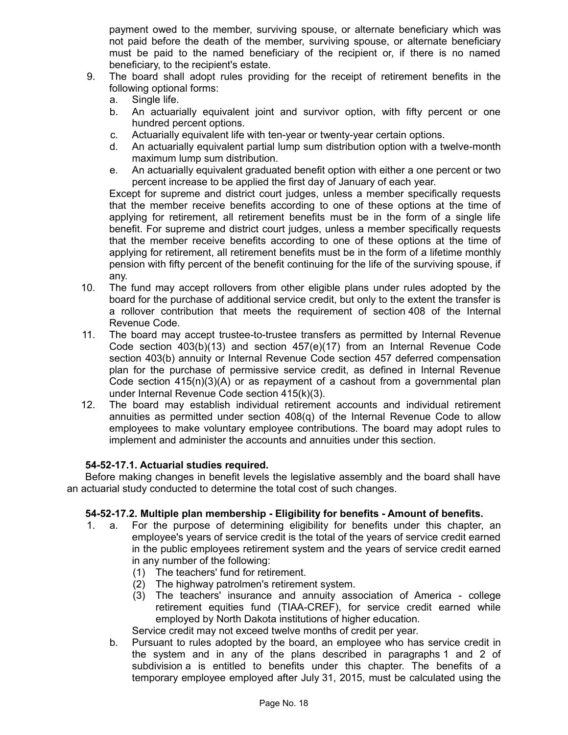payment owed to the member, surviving spouse, or alternate beneficiary which was not paid before the death of the member, surviving spouse, or alternate beneficiary must be paid to the named beneficiary of the recipient or, if there is no named beneficiary, to the recipient's estate.

- 9. The board shall adopt rules providing for the receipt of retirement benefits in the following optional forms:
	- a. Single life.
	- b. An actuarially equivalent joint and survivor option, with fifty percent or one hundred percent options.
	- c. Actuarially equivalent life with ten-year or twenty-year certain options.
	- d. An actuarially equivalent partial lump sum distribution option with a twelve-month maximum lump sum distribution.
	- e. An actuarially equivalent graduated benefit option with either a one percent or two percent increase to be applied the first day of January of each year.

Except for supreme and district court judges, unless a member specifically requests that the member receive benefits according to one of these options at the time of applying for retirement, all retirement benefits must be in the form of a single life benefit. For supreme and district court judges, unless a member specifically requests that the member receive benefits according to one of these options at the time of applying for retirement, all retirement benefits must be in the form of a lifetime monthly pension with fifty percent of the benefit continuing for the life of the surviving spouse, if any.

- 10. The fund may accept rollovers from other eligible plans under rules adopted by the board for the purchase of additional service credit, but only to the extent the transfer is a rollover contribution that meets the requirement of section 408 of the Internal Revenue Code.
- 11. The board may accept trustee-to-trustee transfers as permitted by Internal Revenue Code section 403(b)(13) and section 457(e)(17) from an Internal Revenue Code section 403(b) annuity or Internal Revenue Code section 457 deferred compensation plan for the purchase of permissive service credit, as defined in Internal Revenue Code section 415(n)(3)(A) or as repayment of a cashout from a governmental plan under Internal Revenue Code section 415(k)(3).
- 12. The board may establish individual retirement accounts and individual retirement annuities as permitted under section  $408(q)$  of the Internal Revenue Code to allow employees to make voluntary employee contributions. The board may adopt rules to implement and administer the accounts and annuities under this section.

# **54-52-17.1. Actuarial studies required.**

Before making changes in benefit levels the legislative assembly and the board shall have an actuarial study conducted to determine the total cost of such changes.

# **54-52-17.2. Multiple plan membership - Eligibility for benefits - Amount of benefits.**

- 1. a. For the purpose of determining eligibility for benefits under this chapter, an employee's years of service credit is the total of the years of service credit earned in the public employees retirement system and the years of service credit earned in any number of the following:
	- (1) The teachers' fund for retirement.
	- (2) The highway patrolmen's retirement system.
	- (3) The teachers' insurance and annuity association of America college retirement equities fund (TIAA-CREF), for service credit earned while employed by North Dakota institutions of higher education.

Service credit may not exceed twelve months of credit per year.

b. Pursuant to rules adopted by the board, an employee who has service credit in the system and in any of the plans described in paragraphs 1 and 2 of subdivision a is entitled to benefits under this chapter. The benefits of a temporary employee employed after July 31, 2015, must be calculated using the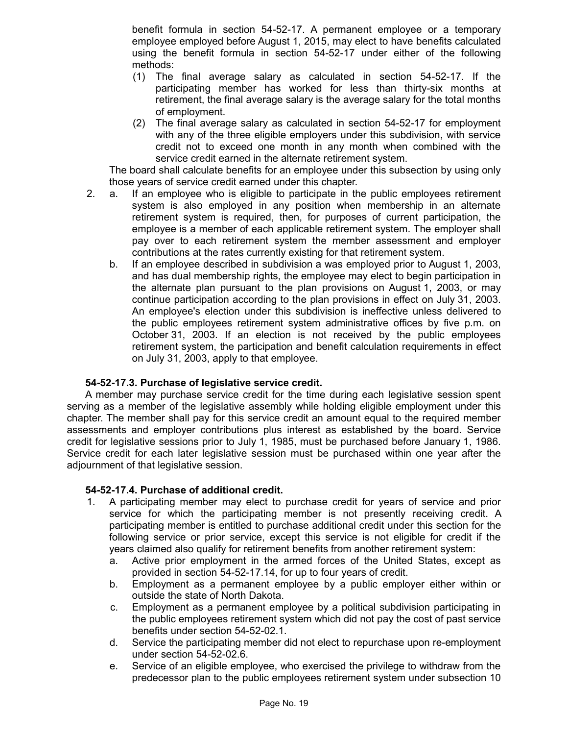benefit formula in section 54-52-17. A permanent employee or a temporary employee employed before August 1, 2015, may elect to have benefits calculated using the benefit formula in section 54-52-17 under either of the following methods:

- (1) The final average salary as calculated in section 54-52-17. If the participating member has worked for less than thirty-six months at retirement, the final average salary is the average salary for the total months of employment.
- (2) The final average salary as calculated in section 54-52-17 for employment with any of the three eligible employers under this subdivision, with service credit not to exceed one month in any month when combined with the service credit earned in the alternate retirement system.

The board shall calculate benefits for an employee under this subsection by using only those years of service credit earned under this chapter.

- 2. a. If an employee who is eligible to participate in the public employees retirement system is also employed in any position when membership in an alternate retirement system is required, then, for purposes of current participation, the employee is a member of each applicable retirement system. The employer shall pay over to each retirement system the member assessment and employer contributions at the rates currently existing for that retirement system.
	- b. If an employee described in subdivision a was employed prior to August 1, 2003, and has dual membership rights, the employee may elect to begin participation in the alternate plan pursuant to the plan provisions on August 1, 2003, or may continue participation according to the plan provisions in effect on July 31, 2003. An employee's election under this subdivision is ineffective unless delivered to the public employees retirement system administrative offices by five p.m. on October 31, 2003. If an election is not received by the public employees retirement system, the participation and benefit calculation requirements in effect on July 31, 2003, apply to that employee.

# **54-52-17.3. Purchase of legislative service credit.**

A member may purchase service credit for the time during each legislative session spent serving as a member of the legislative assembly while holding eligible employment under this chapter. The member shall pay for this service credit an amount equal to the required member assessments and employer contributions plus interest as established by the board. Service credit for legislative sessions prior to July 1, 1985, must be purchased before January 1, 1986. Service credit for each later legislative session must be purchased within one year after the adjournment of that legislative session.

### **54-52-17.4. Purchase of additional credit.**

- 1. A participating member may elect to purchase credit for years of service and prior service for which the participating member is not presently receiving credit. A participating member is entitled to purchase additional credit under this section for the following service or prior service, except this service is not eligible for credit if the years claimed also qualify for retirement benefits from another retirement system:
	- a. Active prior employment in the armed forces of the United States, except as provided in section 54-52-17.14, for up to four years of credit.
	- b. Employment as a permanent employee by a public employer either within or outside the state of North Dakota.
	- c. Employment as a permanent employee by a political subdivision participating in the public employees retirement system which did not pay the cost of past service benefits under section 54-52-02.1.
	- d. Service the participating member did not elect to repurchase upon re-employment under section 54-52-02.6.
	- e. Service of an eligible employee, who exercised the privilege to withdraw from the predecessor plan to the public employees retirement system under subsection 10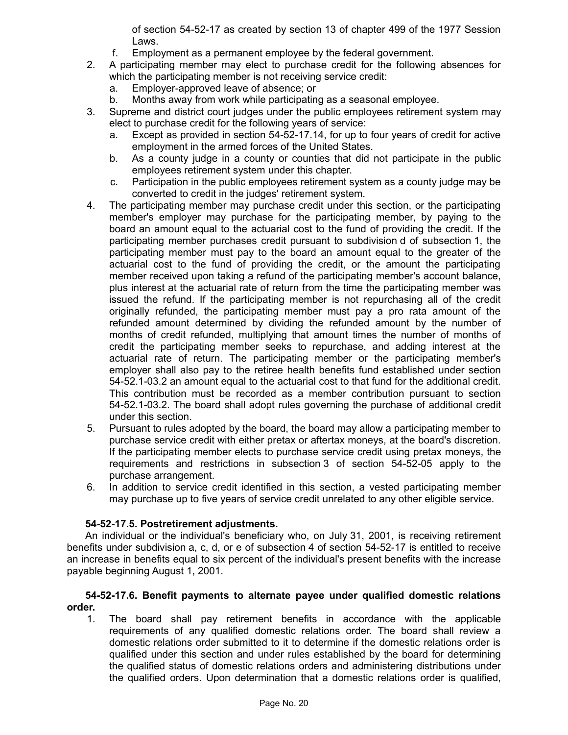of section 54-52-17 as created by section 13 of chapter 499 of the 1977 Session Laws.

- f. Employment as a permanent employee by the federal government.
- 2. A participating member may elect to purchase credit for the following absences for which the participating member is not receiving service credit:
	- a. Employer-approved leave of absence; or
	- b. Months away from work while participating as a seasonal employee.
- 3. Supreme and district court judges under the public employees retirement system may elect to purchase credit for the following years of service:
	- a. Except as provided in section 54-52-17.14, for up to four years of credit for active employment in the armed forces of the United States.
	- b. As a county judge in a county or counties that did not participate in the public employees retirement system under this chapter.
	- c. Participation in the public employees retirement system as a county judge may be converted to credit in the judges' retirement system.
- 4. The participating member may purchase credit under this section, or the participating member's employer may purchase for the participating member, by paying to the board an amount equal to the actuarial cost to the fund of providing the credit. If the participating member purchases credit pursuant to subdivision d of subsection 1, the participating member must pay to the board an amount equal to the greater of the actuarial cost to the fund of providing the credit, or the amount the participating member received upon taking a refund of the participating member's account balance, plus interest at the actuarial rate of return from the time the participating member was issued the refund. If the participating member is not repurchasing all of the credit originally refunded, the participating member must pay a pro rata amount of the refunded amount determined by dividing the refunded amount by the number of months of credit refunded, multiplying that amount times the number of months of credit the participating member seeks to repurchase, and adding interest at the actuarial rate of return. The participating member or the participating member's employer shall also pay to the retiree health benefits fund established under section 54-52.1-03.2 an amount equal to the actuarial cost to that fund for the additional credit. This contribution must be recorded as a member contribution pursuant to section 54-52.1-03.2. The board shall adopt rules governing the purchase of additional credit under this section.
- 5. Pursuant to rules adopted by the board, the board may allow a participating member to purchase service credit with either pretax or aftertax moneys, at the board's discretion. If the participating member elects to purchase service credit using pretax moneys, the requirements and restrictions in subsection 3 of section 54-52-05 apply to the purchase arrangement.
- 6. In addition to service credit identified in this section, a vested participating member may purchase up to five years of service credit unrelated to any other eligible service.

# **54-52-17.5. Postretirement adjustments.**

An individual or the individual's beneficiary who, on July 31, 2001, is receiving retirement benefits under subdivision a, c, d, or e of subsection 4 of section 54-52-17 is entitled to receive an increase in benefits equal to six percent of the individual's present benefits with the increase payable beginning August 1, 2001.

### **54-52-17.6. Benefit payments to alternate payee under qualified domestic relations order.**

1. The board shall pay retirement benefits in accordance with the applicable requirements of any qualified domestic relations order. The board shall review a domestic relations order submitted to it to determine if the domestic relations order is qualified under this section and under rules established by the board for determining the qualified status of domestic relations orders and administering distributions under the qualified orders. Upon determination that a domestic relations order is qualified,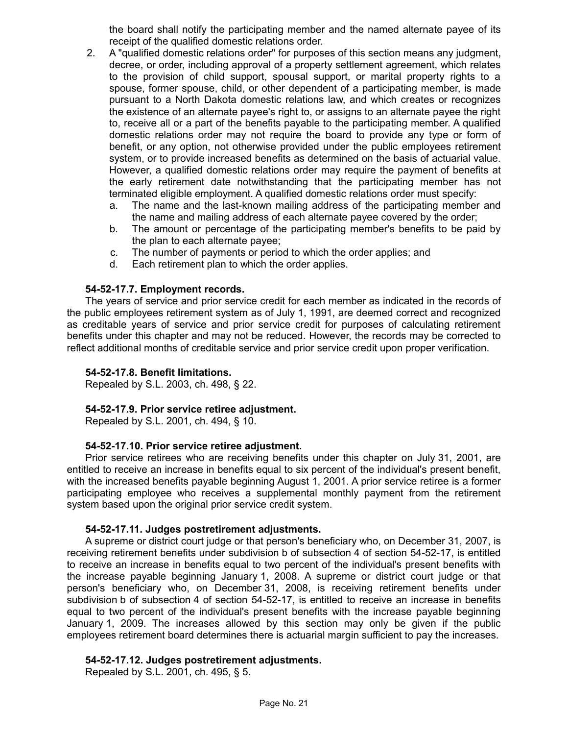the board shall notify the participating member and the named alternate payee of its receipt of the qualified domestic relations order.

- 2. A "qualified domestic relations order" for purposes of this section means any judgment, decree, or order, including approval of a property settlement agreement, which relates to the provision of child support, spousal support, or marital property rights to a spouse, former spouse, child, or other dependent of a participating member, is made pursuant to a North Dakota domestic relations law, and which creates or recognizes the existence of an alternate payee's right to, or assigns to an alternate payee the right to, receive all or a part of the benefits payable to the participating member. A qualified domestic relations order may not require the board to provide any type or form of benefit, or any option, not otherwise provided under the public employees retirement system, or to provide increased benefits as determined on the basis of actuarial value. However, a qualified domestic relations order may require the payment of benefits at the early retirement date notwithstanding that the participating member has not terminated eligible employment. A qualified domestic relations order must specify:
	- a. The name and the last-known mailing address of the participating member and the name and mailing address of each alternate payee covered by the order;
	- b. The amount or percentage of the participating member's benefits to be paid by the plan to each alternate payee;
	- c. The number of payments or period to which the order applies; and
	- d. Each retirement plan to which the order applies.

## **54-52-17.7. Employment records.**

The years of service and prior service credit for each member as indicated in the records of the public employees retirement system as of July 1, 1991, are deemed correct and recognized as creditable years of service and prior service credit for purposes of calculating retirement benefits under this chapter and may not be reduced. However, the records may be corrected to reflect additional months of creditable service and prior service credit upon proper verification.

### **54-52-17.8. Benefit limitations.**

Repealed by S.L. 2003, ch. 498, § 22.

### **54-52-17.9. Prior service retiree adjustment.**

Repealed by S.L. 2001, ch. 494, § 10.

### **54-52-17.10. Prior service retiree adjustment.**

Prior service retirees who are receiving benefits under this chapter on July 31, 2001, are entitled to receive an increase in benefits equal to six percent of the individual's present benefit, with the increased benefits payable beginning August 1, 2001. A prior service retiree is a former participating employee who receives a supplemental monthly payment from the retirement system based upon the original prior service credit system.

### **54-52-17.11. Judges postretirement adjustments.**

A supreme or district court judge or that person's beneficiary who, on December 31, 2007, is receiving retirement benefits under subdivision b of subsection 4 of section 54-52-17, is entitled to receive an increase in benefits equal to two percent of the individual's present benefits with the increase payable beginning January 1, 2008. A supreme or district court judge or that person's beneficiary who, on December 31, 2008, is receiving retirement benefits under subdivision b of subsection 4 of section 54-52-17, is entitled to receive an increase in benefits equal to two percent of the individual's present benefits with the increase payable beginning January 1, 2009. The increases allowed by this section may only be given if the public employees retirement board determines there is actuarial margin sufficient to pay the increases.

### **54-52-17.12. Judges postretirement adjustments.**

Repealed by S.L. 2001, ch. 495, § 5.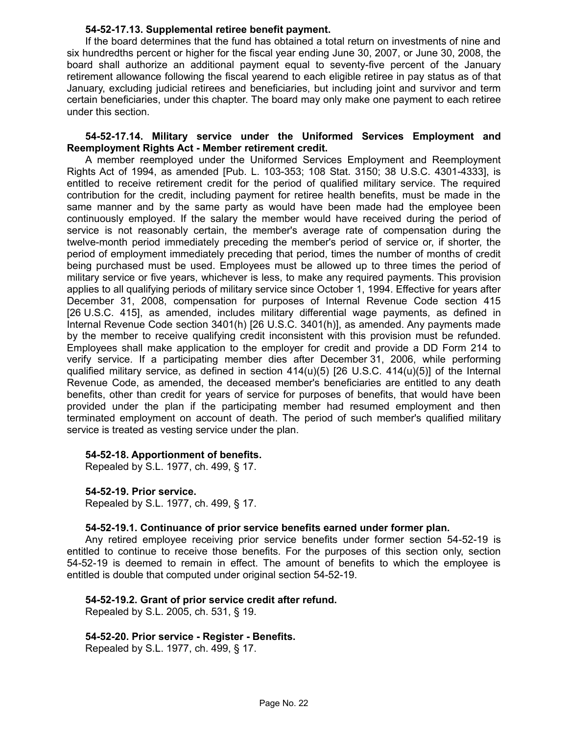### **54-52-17.13. Supplemental retiree benefit payment.**

If the board determines that the fund has obtained a total return on investments of nine and six hundredths percent or higher for the fiscal year ending June 30, 2007, or June 30, 2008, the board shall authorize an additional payment equal to seventy-five percent of the January retirement allowance following the fiscal yearend to each eligible retiree in pay status as of that January, excluding judicial retirees and beneficiaries, but including joint and survivor and term certain beneficiaries, under this chapter. The board may only make one payment to each retiree under this section.

### **54-52-17.14. Military service under the Uniformed Services Employment and Reemployment Rights Act - Member retirement credit.**

A member reemployed under the Uniformed Services Employment and Reemployment Rights Act of 1994, as amended [Pub. L. 103-353; 108 Stat. 3150; 38 U.S.C. 4301-4333], is entitled to receive retirement credit for the period of qualified military service. The required contribution for the credit, including payment for retiree health benefits, must be made in the same manner and by the same party as would have been made had the employee been continuously employed. If the salary the member would have received during the period of service is not reasonably certain, the member's average rate of compensation during the twelve-month period immediately preceding the member's period of service or, if shorter, the period of employment immediately preceding that period, times the number of months of credit being purchased must be used. Employees must be allowed up to three times the period of military service or five years, whichever is less, to make any required payments. This provision applies to all qualifying periods of military service since October 1, 1994. Effective for years after December 31, 2008, compensation for purposes of Internal Revenue Code section 415 [26 U.S.C. 415], as amended, includes military differential wage payments, as defined in Internal Revenue Code section 3401(h) [26 U.S.C. 3401(h)], as amended. Any payments made by the member to receive qualifying credit inconsistent with this provision must be refunded. Employees shall make application to the employer for credit and provide a DD Form 214 to verify service. If a participating member dies after December 31, 2006, while performing qualified military service, as defined in section  $414(u)(5)$  [26 U.S.C.  $414(u)(5)$ ] of the Internal Revenue Code, as amended, the deceased member's beneficiaries are entitled to any death benefits, other than credit for years of service for purposes of benefits, that would have been provided under the plan if the participating member had resumed employment and then terminated employment on account of death. The period of such member's qualified military service is treated as vesting service under the plan.

### **54-52-18. Apportionment of benefits.**

Repealed by S.L. 1977, ch. 499, § 17.

### **54-52-19. Prior service.**

Repealed by S.L. 1977, ch. 499, § 17.

### **54-52-19.1. Continuance of prior service benefits earned under former plan.**

Any retired employee receiving prior service benefits under former section 54-52-19 is entitled to continue to receive those benefits. For the purposes of this section only, section 54-52-19 is deemed to remain in effect. The amount of benefits to which the employee is entitled is double that computed under original section 54-52-19.

# **54-52-19.2. Grant of prior service credit after refund.**

Repealed by S.L. 2005, ch. 531, § 19.

### **54-52-20. Prior service - Register - Benefits.**

Repealed by S.L. 1977, ch. 499, § 17.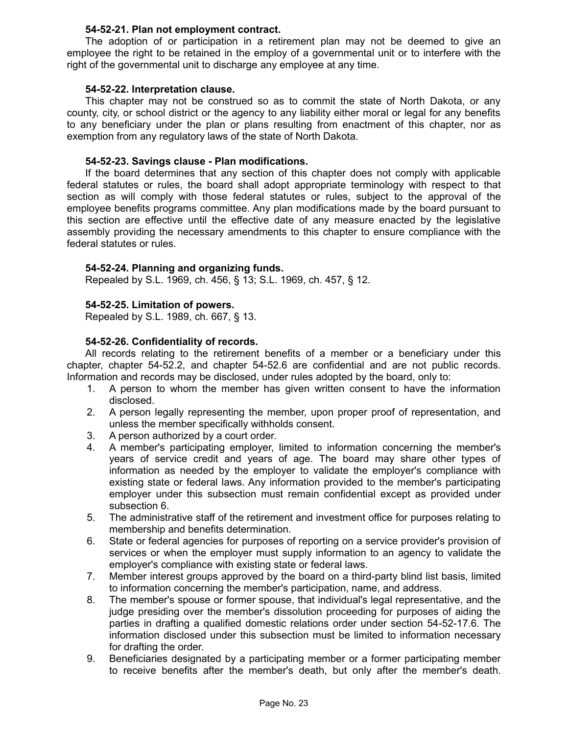## **54-52-21. Plan not employment contract.**

The adoption of or participation in a retirement plan may not be deemed to give an employee the right to be retained in the employ of a governmental unit or to interfere with the right of the governmental unit to discharge any employee at any time.

## **54-52-22. Interpretation clause.**

This chapter may not be construed so as to commit the state of North Dakota, or any county, city, or school district or the agency to any liability either moral or legal for any benefits to any beneficiary under the plan or plans resulting from enactment of this chapter, nor as exemption from any regulatory laws of the state of North Dakota.

## **54-52-23. Savings clause - Plan modifications.**

If the board determines that any section of this chapter does not comply with applicable federal statutes or rules, the board shall adopt appropriate terminology with respect to that section as will comply with those federal statutes or rules, subject to the approval of the employee benefits programs committee. Any plan modifications made by the board pursuant to this section are effective until the effective date of any measure enacted by the legislative assembly providing the necessary amendments to this chapter to ensure compliance with the federal statutes or rules.

## **54-52-24. Planning and organizing funds.**

Repealed by S.L. 1969, ch. 456, § 13; S.L. 1969, ch. 457, § 12.

## **54-52-25. Limitation of powers.**

Repealed by S.L. 1989, ch. 667, § 13.

## **54-52-26. Confidentiality of records.**

All records relating to the retirement benefits of a member or a beneficiary under this chapter, chapter 54-52.2, and chapter 54-52.6 are confidential and are not public records. Information and records may be disclosed, under rules adopted by the board, only to:

- 1. A person to whom the member has given written consent to have the information disclosed.
- 2. A person legally representing the member, upon proper proof of representation, and unless the member specifically withholds consent.
- 3. A person authorized by a court order.
- 4. A member's participating employer, limited to information concerning the member's years of service credit and years of age. The board may share other types of information as needed by the employer to validate the employer's compliance with existing state or federal laws. Any information provided to the member's participating employer under this subsection must remain confidential except as provided under subsection 6.
- 5. The administrative staff of the retirement and investment office for purposes relating to membership and benefits determination.
- 6. State or federal agencies for purposes of reporting on a service provider's provision of services or when the employer must supply information to an agency to validate the employer's compliance with existing state or federal laws.
- 7. Member interest groups approved by the board on a third-party blind list basis, limited to information concerning the member's participation, name, and address.
- 8. The member's spouse or former spouse, that individual's legal representative, and the judge presiding over the member's dissolution proceeding for purposes of aiding the parties in drafting a qualified domestic relations order under section 54-52-17.6. The information disclosed under this subsection must be limited to information necessary for drafting the order.
- 9. Beneficiaries designated by a participating member or a former participating member to receive benefits after the member's death, but only after the member's death.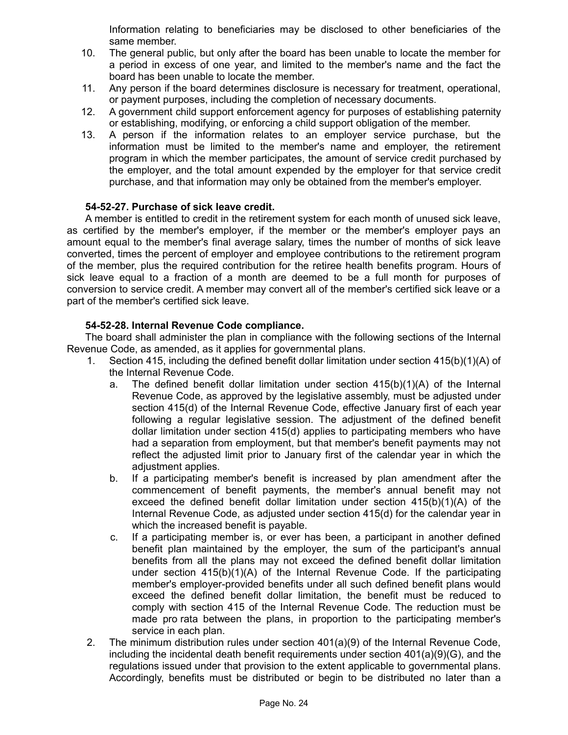Information relating to beneficiaries may be disclosed to other beneficiaries of the same member.

- 10. The general public, but only after the board has been unable to locate the member for a period in excess of one year, and limited to the member's name and the fact the board has been unable to locate the member.
- 11. Any person if the board determines disclosure is necessary for treatment, operational, or payment purposes, including the completion of necessary documents.
- 12. A government child support enforcement agency for purposes of establishing paternity or establishing, modifying, or enforcing a child support obligation of the member.
- 13. A person if the information relates to an employer service purchase, but the information must be limited to the member's name and employer, the retirement program in which the member participates, the amount of service credit purchased by the employer, and the total amount expended by the employer for that service credit purchase, and that information may only be obtained from the member's employer.

## **54-52-27. Purchase of sick leave credit.**

A member is entitled to credit in the retirement system for each month of unused sick leave, as certified by the member's employer, if the member or the member's employer pays an amount equal to the member's final average salary, times the number of months of sick leave converted, times the percent of employer and employee contributions to the retirement program of the member, plus the required contribution for the retiree health benefits program. Hours of sick leave equal to a fraction of a month are deemed to be a full month for purposes of conversion to service credit. A member may convert all of the member's certified sick leave or a part of the member's certified sick leave.

## **54-52-28. Internal Revenue Code compliance.**

The board shall administer the plan in compliance with the following sections of the Internal Revenue Code, as amended, as it applies for governmental plans.

- 1. Section 415, including the defined benefit dollar limitation under section 415(b)(1)(A) of the Internal Revenue Code.
	- a. The defined benefit dollar limitation under section 415(b)(1)(A) of the Internal Revenue Code, as approved by the legislative assembly, must be adjusted under section 415(d) of the Internal Revenue Code, effective January first of each year following a regular legislative session. The adjustment of the defined benefit dollar limitation under section 415(d) applies to participating members who have had a separation from employment, but that member's benefit payments may not reflect the adjusted limit prior to January first of the calendar year in which the adjustment applies.
	- b. If a participating member's benefit is increased by plan amendment after the commencement of benefit payments, the member's annual benefit may not exceed the defined benefit dollar limitation under section 415(b)(1)(A) of the Internal Revenue Code, as adjusted under section 415(d) for the calendar year in which the increased benefit is payable.
	- c. If a participating member is, or ever has been, a participant in another defined benefit plan maintained by the employer, the sum of the participant's annual benefits from all the plans may not exceed the defined benefit dollar limitation under section 415(b)(1)(A) of the Internal Revenue Code. If the participating member's employer-provided benefits under all such defined benefit plans would exceed the defined benefit dollar limitation, the benefit must be reduced to comply with section 415 of the Internal Revenue Code. The reduction must be made pro rata between the plans, in proportion to the participating member's service in each plan.
- 2. The minimum distribution rules under section 401(a)(9) of the Internal Revenue Code, including the incidental death benefit requirements under section 401(a)(9)(G), and the regulations issued under that provision to the extent applicable to governmental plans. Accordingly, benefits must be distributed or begin to be distributed no later than a